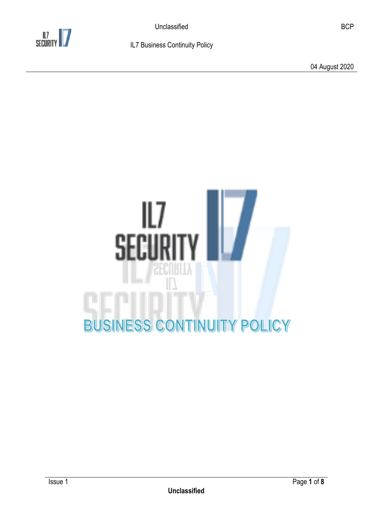

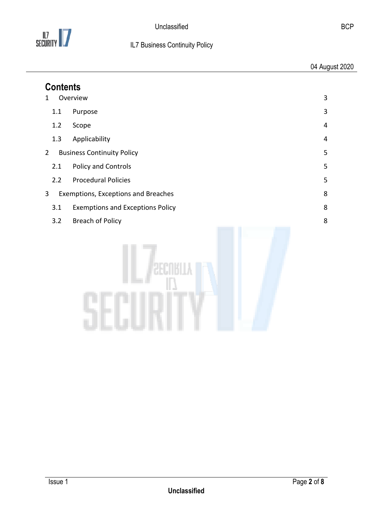

| <b>Contents</b> |                                         |   |  |
|-----------------|-----------------------------------------|---|--|
| 1               | Overview                                | 3 |  |
| 1.1             | Purpose                                 | 3 |  |
| 1.2             | Scope                                   | 4 |  |
| 1.3             | Applicability                           | 4 |  |
| $\overline{2}$  | <b>Business Continuity Policy</b>       | 5 |  |
| 2.1             | Policy and Controls                     | 5 |  |
| 2.2             | <b>Procedural Policies</b>              | 5 |  |
| $\mathbf{3}$    | Exemptions, Exceptions and Breaches     | 8 |  |
| 3.1             | <b>Exemptions and Exceptions Policy</b> | 8 |  |
| 3.2             | <b>Breach of Policy</b>                 | 8 |  |
|                 |                                         |   |  |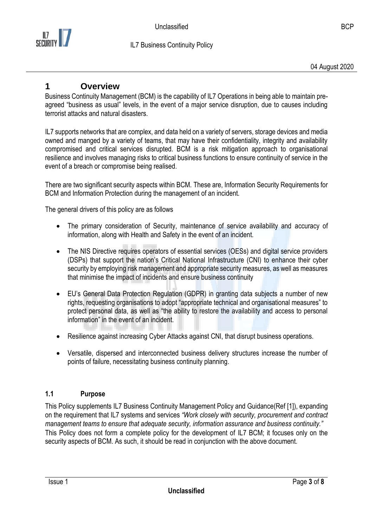

## <span id="page-2-0"></span>**1 Overview**

Business Continuity Management (BCM) is the capability of IL7 Operations in being able to maintain preagreed "business as usual" levels, in the event of a major service disruption, due to causes including terrorist attacks and natural disasters.

IL7 supports networks that are complex, and data held on a variety of servers, storage devices and media owned and manged by a variety of teams, that may have their confidentiality, integrity and availability compromised and critical services disrupted. BCM is a risk mitigation approach to organisational resilience and involves managing risks to critical business functions to ensure continuity of service in the event of a breach or compromise being realised.

There are two significant security aspects within BCM. These are, Information Security Requirements for BCM and Information Protection during the management of an incident.

The general drivers of this policy are as follows

- The primary consideration of Security, maintenance of service availability and accuracy of information, along with Health and Safety in the event of an incident.
- The NIS Directive requires operators of essential services (OESs) and digital service providers (DSPs) that support the nation's Critical National Infrastructure (CNI) to enhance their cyber security by employing risk management and appropriate security measures, as well as measures that minimise the impact of incidents and ensure business continuity
- EU's General Data Protection Regulation (GDPR) in granting data subjects a number of new rights, requesting organisations to adopt "appropriate technical and organisational measures" to protect personal data, as well as "the ability to restore the availability and access to personal information" in the event of an incident.
- Resilience against increasing Cyber Attacks against CNI, that disrupt business operations.
- Versatile, dispersed and interconnected business delivery structures increase the number of points of failure, necessitating business continuity planning.

### <span id="page-2-1"></span>**1.1 Purpose**

This Policy supplements IL7 Business Continuity Management Policy and Guidance(Ref [1]), expanding on the requirement that IL7 systems and services *"Work closely with security, procurement and contract management teams to ensure that adequate security, information assurance and business continuity."* This Policy does not form a complete policy for the development of IL7 BCM; it focuses only on the security aspects of BCM. As such, it should be read in conjunction with the above document.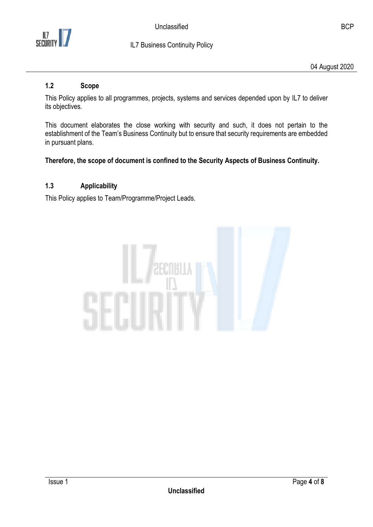

04 August 2020

#### <span id="page-3-0"></span>**1.2 Scope**

This Policy applies to all programmes, projects, systems and services depended upon by IL7 to deliver its objectives.

This document elaborates the close working with security and such, it does not pertain to the establishment of the Team's Business Continuity but to ensure that security requirements are embedded in pursuant plans.

#### **Therefore, the scope of document is confined to the Security Aspects of Business Continuity.**

### <span id="page-3-1"></span>**1.3 Applicability**

This Policy applies to Team/Programme/Project Leads.

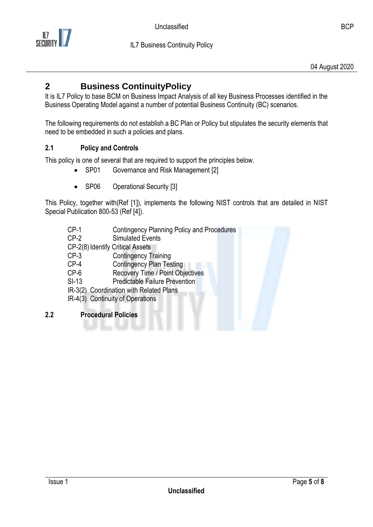

# <span id="page-4-0"></span>**2 Business ContinuityPolicy**

It is IL7 Policy to base BCM on Business Impact Analysis of all key Business Processes identified in the Business Operating Model against a number of potential Business Continuity (BC) scenarios.

The following requirements do not establish a BC Plan or Policy but stipulates the security elements that need to be embedded in such a policies and plans.

### <span id="page-4-1"></span>**2.1 Policy and Controls**

This policy is one of several that are required to support the principles below.

- SP01 Governance and Risk Management [2]
- SP06 Operational Security [3]

This Policy, together with(Ref [1]), implements the following NIST controls that are detailed in NIST Special Publication 800-53 (Ref [4]).

- CP-1 Contingency Planning Policy and Procedures
- CP-2 Simulated Events
- CP-2(8) Identify Critical Assets
- CP-3 Contingency Training
- CP-4 Contingency Plan Testing
- CP-6 Recovery Time / Point Objectives
- SI-13 Predictable Failure Prevention
- IR-3(2) Coordination with Related Plans
- IR-4(3) Continuity of Operations
- <span id="page-4-2"></span>**2.2 Procedural Policies**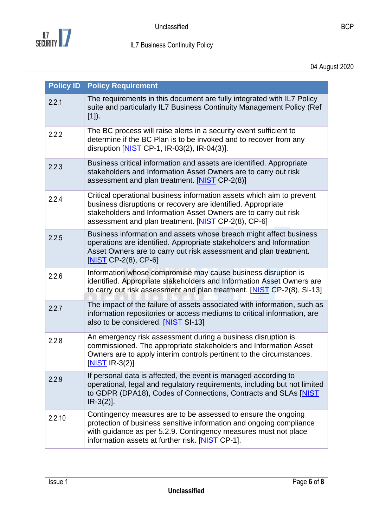

| <b>Policy ID</b> | <b>Policy Requirement</b>                                                                                                                                                                                                                                       |
|------------------|-----------------------------------------------------------------------------------------------------------------------------------------------------------------------------------------------------------------------------------------------------------------|
| 2.2.1            | The requirements in this document are fully integrated with IL7 Policy<br>suite and particularly IL7 Business Continuity Management Policy (Ref<br>$[1]$ .                                                                                                      |
| 2.2.2            | The BC process will raise alerts in a security event sufficient to<br>determine if the BC Plan is to be invoked and to recover from any<br>disruption [NIST CP-1, IR-03(2), IR-04(3)].                                                                          |
| 2.2.3            | Business critical information and assets are identified. Appropriate<br>stakeholders and Information Asset Owners are to carry out risk<br>assessment and plan treatment. [NIST CP-2(8)]                                                                        |
| 2.2.4            | Critical operational business information assets which aim to prevent<br>business disruptions or recovery are identified. Appropriate<br>stakeholders and Information Asset Owners are to carry out risk<br>assessment and plan treatment. [NIST CP-2(8), CP-6] |
| 2.2.5            | Business information and assets whose breach might affect business<br>operations are identified. Appropriate stakeholders and Information<br>Asset Owners are to carry out risk assessment and plan treatment.<br>$[NIST CP-2(8), CP-6]$                        |
| 2.2.6            | Information whose compromise may cause business disruption is<br>identified. Appropriate stakeholders and Information Asset Owners are<br>to carry out risk assessment and plan treatment. [NIST CP-2(8), SI-13]                                                |
| 2.2.7            | The impact of the failure of assets associated with information, such as<br>information repositories or access mediums to critical information, are<br>also to be considered. [NIST SI-13]                                                                      |
| 2.2.8            | An emergency risk assessment during a business disruption is<br>commissioned. The appropriate stakeholders and Information Asset<br>Owners are to apply interim controls pertinent to the circumstances.<br>$[NIST$ IR-3(2)]                                    |
| 2.2.9            | If personal data is affected, the event is managed according to<br>operational, legal and regulatory requirements, including but not limited<br>to GDPR (DPA18), Codes of Connections, Contracts and SLAs [NIST<br>$IR-3(2)$ ].                                 |
| 2.2.10           | Contingency measures are to be assessed to ensure the ongoing<br>protection of business sensitive information and ongoing compliance<br>with guidance as per 5.2.9. Contingency measures must not place<br>information assets at further risk. [NIST CP-1].     |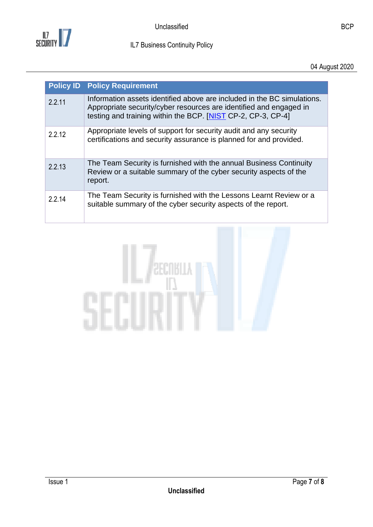

| <b>Policy ID</b> | <b>Policy Requirement</b>                                                                                                                                                                                     |
|------------------|---------------------------------------------------------------------------------------------------------------------------------------------------------------------------------------------------------------|
| 2.2.11           | Information assets identified above are included in the BC simulations.<br>Appropriate security/cyber resources are identified and engaged in<br>testing and training within the BCP. [NIST CP-2, CP-3, CP-4] |
| 2.2.12           | Appropriate levels of support for security audit and any security<br>certifications and security assurance is planned for and provided.                                                                       |
| 2.2.13           | The Team Security is furnished with the annual Business Continuity<br>Review or a suitable summary of the cyber security aspects of the<br>report.                                                            |
| 2.2.14           | The Team Security is furnished with the Lessons Learnt Review or a<br>suitable summary of the cyber security aspects of the report.                                                                           |